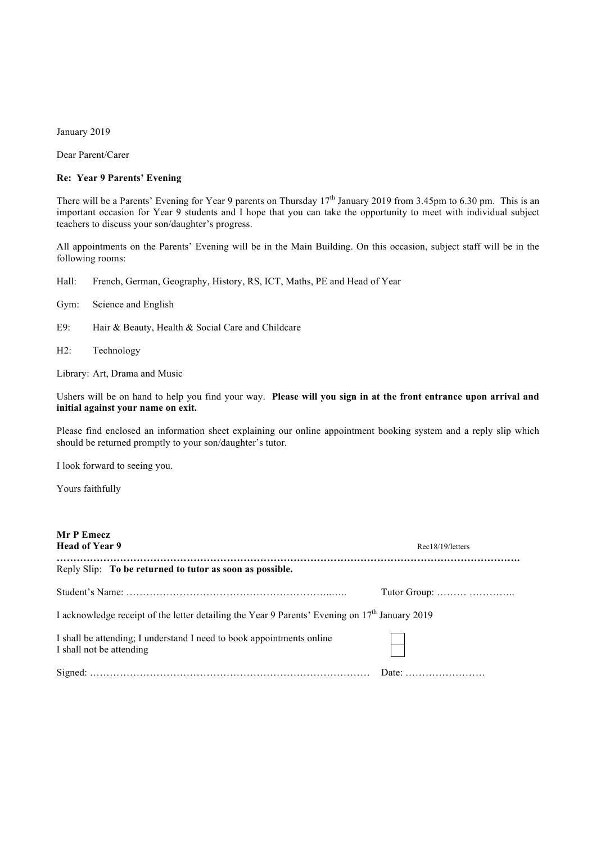January 2019

Dear Parent/Carer

## **Re: Year 9 Parents' Evening**

There will be a Parents' Evening for Year 9 parents on Thursday 17<sup>th</sup> January 2019 from 3.45pm to 6.30 pm. This is an important occasion for Year 9 students and I hope that you can take the opportunity to meet with individual subject teachers to discuss your son/daughter's progress.

All appointments on the Parents' Evening will be in the Main Building. On this occasion, subject staff will be in the following rooms:

Hall: French, German, Geography, History, RS, ICT, Maths, PE and Head of Year

- Gym: Science and English
- E9: Hair & Beauty, Health & Social Care and Childcare
- H2: Technology

Library: Art, Drama and Music

Ushers will be on hand to help you find your way. **Please will you sign in at the front entrance upon arrival and initial against your name on exit.**

Please find enclosed an information sheet explaining our online appointment booking system and a reply slip which should be returned promptly to your son/daughter's tutor.

I look forward to seeing you.

Yours faithfully

| Mr P Emecz<br><b>Head of Year 9</b>                                                                        | Rec18/19/letters                                   |
|------------------------------------------------------------------------------------------------------------|----------------------------------------------------|
| Reply Slip: To be returned to tutor as soon as possible.                                                   |                                                    |
|                                                                                                            | Tutor Group: $\dots \dots \dots \dots \dots \dots$ |
| I acknowledge receipt of the letter detailing the Year 9 Parents' Evening on 17 <sup>th</sup> January 2019 |                                                    |
| I shall be attending; I understand I need to book appointments online<br>I shall not be attending          |                                                    |
|                                                                                                            |                                                    |